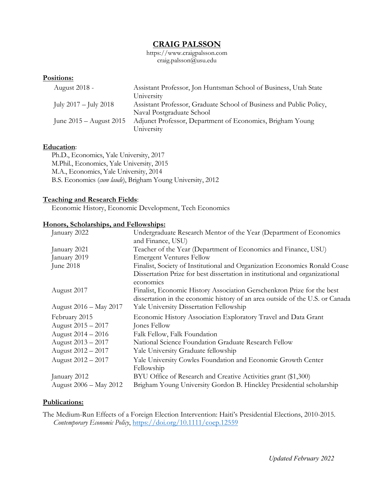# **CRAIG PALSSON**

https://www.craigpalsson.com craig.palsson@usu.edu

## **Positions:**

| August 2018 -               | Assistant Professor, Jon Huntsman School of Business, Utah State<br>University                   |
|-----------------------------|--------------------------------------------------------------------------------------------------|
| July $2017 -$ July $2018$   | Assistant Professor, Graduate School of Business and Public Policy,<br>Naval Postgraduate School |
| June $2015 -$ August $2015$ | Adjunct Professor, Department of Economics, Brigham Young<br>University                          |

### **Education**:

Ph.D., Economics, Yale University, 2017 M.Phil., Economics, Yale University, 2015 M.A., Economics, Yale University, 2014 B.S. Economics (*cum laude*), Brigham Young University, 2012

## **Teaching and Research Fields**:

Economic History, Economic Development, Tech Economics

#### **Honors, Scholarships, and Fellowships:**

| January 2022           | Undergraduate Research Mentor of the Year (Department of Economics<br>and Finance, USU)                                                                 |
|------------------------|---------------------------------------------------------------------------------------------------------------------------------------------------------|
| January 2021           | Teacher of the Year (Department of Economics and Finance, USU)                                                                                          |
| January 2019           | <b>Emergent Ventures Fellow</b>                                                                                                                         |
| June 2018              | Finalist, Society of Institutional and Organization Economics Ronald Coase                                                                              |
|                        | Dissertation Prize for best dissertation in institutional and organizational<br>economics                                                               |
| August 2017            | Finalist, Economic History Association Gerschenkron Prize for the best<br>dissertation in the economic history of an area outside of the U.S. or Canada |
| August 2016 - May 2017 | Yale University Dissertation Fellowship                                                                                                                 |
| February 2015          | Economic History Association Exploratory Travel and Data Grant                                                                                          |
| August 2015 - 2017     | Jones Fellow                                                                                                                                            |
| August 2014 - 2016     | Falk Fellow, Falk Foundation                                                                                                                            |
| August 2013 – 2017     | National Science Foundation Graduate Research Fellow                                                                                                    |
| August 2012 – 2017     | Yale University Graduate fellowship                                                                                                                     |
| August 2012 - 2017     | Yale University Cowles Foundation and Economic Growth Center                                                                                            |
|                        | Fellowship                                                                                                                                              |
| January 2012           | BYU Office of Research and Creative Activities grant (\$1,300)                                                                                          |
| August 2006 - May 2012 | Brigham Young University Gordon B. Hinckley Presidential scholarship                                                                                    |

## **Publications:**

The Medium-Run Effects of a Foreign Election Intervention: Haiti's Presidential Elections, 2010-2015. *Contemporary Economic Policy*,<https://doi.org/10.1111/coep.12559>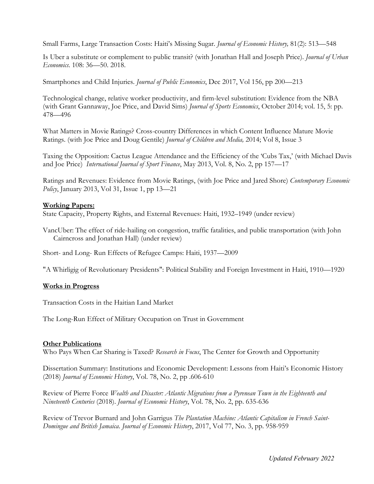Small Farms, Large Transaction Costs: Haiti's Missing Sugar. *Journal of Economic History,* 81(2): 513—548

Is Uber a substitute or complement to public transit? (with Jonathan Hall and Joseph Price). *Journal of Urban Economics*. 108: 36—50. 2018.

Smartphones and Child Injuries. *Journal of Public Economics*, Dec 2017, Vol 156, pp 200—213

Technological change, relative worker productivity, and firm-level substitution: Evidence from the NBA (with Grant Gannaway, Joe Price, and David Sims) *Journal of Sports Economics*, October 2014; vol. 15, 5: pp. 478—496

What Matters in Movie Ratings? Cross-country Differences in which Content Influence Mature Movie Ratings. (with Joe Price and Doug Gentile) *Journal of Children and Media,* 2014; Vol 8, Issue 3

Taxing the Opposition: Cactus League Attendance and the Efficiency of the 'Cubs Tax,' (with Michael Davis and Joe Price) *International Journal of Sport Finance*, May 2013, Vol. 8, No. 2, pp 157—17

Ratings and Revenues: Evidence from Movie Ratings, (with Joe Price and Jared Shore) *Contemporary Economic Policy*, January 2013, Vol 31, Issue 1, pp 13—21

### **Working Papers:**

State Capacity, Property Rights, and External Revenues: Haiti, 1932–1949 (under review)

VancUber: The effect of ride-hailing on congestion, traffic fatalities, and public transportation (with John Cairncross and Jonathan Hall) (under review)

Short- and Long- Run Effects of Refugee Camps: Haiti, 1937—2009

"A Whirligig of Revolutionary Presidents": Political Stability and Foreign Investment in Haiti, 1910—1920

### **Works in Progress**

Transaction Costs in the Haitian Land Market

The Long-Run Effect of Military Occupation on Trust in Government

### **Other Publications**

Who Pays When Car Sharing is Taxed? *Research in Focus*, The Center for Growth and Opportunity

Dissertation Summary: Institutions and Economic Development: Lessons from Haiti's Economic History (2018) *Journal of Economic History*, Vol. 78, No. 2, pp .606-610

Review of Pierre Force *Wealth and Disaster: Atlantic Migrations from a Pyrenean Town in the Eighteenth and Nineteenth Centuries* (2018). *Journal of Economic History*, Vol. 78, No. 2, pp. 635-636

Review of Trevor Burnard and John Garrigus *The Plantation Machine: Atlantic Capitalism in French Saint-Domingue and British Jamaica*. *Journal of Economic History*, 2017, Vol 77, No. 3, pp. 958-959